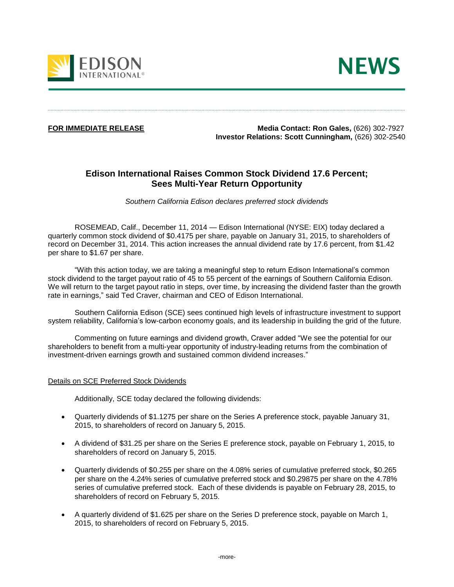



**FOR IMMEDIATE RELEASE Media Contact: Ron Gales,** (626) 302-7927  **Investor Relations: Scott Cunningham,** (626) 302-2540

# **Edison International Raises Common Stock Dividend 17.6 Percent; Sees Multi-Year Return Opportunity**

*Southern California Edison declares preferred stock dividends*

ROSEMEAD, Calif., December 11, 2014 — Edison International (NYSE: EIX) today declared a quarterly common stock dividend of \$0.4175 per share, payable on January 31, 2015, to shareholders of record on December 31, 2014. This action increases the annual dividend rate by 17.6 percent, from \$1.42 per share to \$1.67 per share.

"With this action today, we are taking a meaningful step to return Edison International's common stock dividend to the target payout ratio of 45 to 55 percent of the earnings of Southern California Edison. We will return to the target payout ratio in steps, over time, by increasing the dividend faster than the growth rate in earnings," said Ted Craver, chairman and CEO of Edison International.

Southern California Edison (SCE) sees continued high levels of infrastructure investment to support system reliability, California's low-carbon economy goals, and its leadership in building the grid of the future.

Commenting on future earnings and dividend growth, Craver added "We see the potential for our shareholders to benefit from a multi-year opportunity of industry-leading returns from the combination of investment-driven earnings growth and sustained common dividend increases."

# Details on SCE Preferred Stock Dividends

Additionally, SCE today declared the following dividends:

- Quarterly dividends of \$1.1275 per share on the Series A preference stock, payable January 31, 2015, to shareholders of record on January 5, 2015.
- A dividend of \$31.25 per share on the Series E preference stock, payable on February 1, 2015, to shareholders of record on January 5, 2015.
- Quarterly dividends of \$0.255 per share on the 4.08% series of cumulative preferred stock, \$0.265 per share on the 4.24% series of cumulative preferred stock and \$0.29875 per share on the 4.78% series of cumulative preferred stock. Each of these dividends is payable on February 28, 2015, to shareholders of record on February 5, 2015.
- A quarterly dividend of \$1.625 per share on the Series D preference stock, payable on March 1, 2015, to shareholders of record on February 5, 2015.